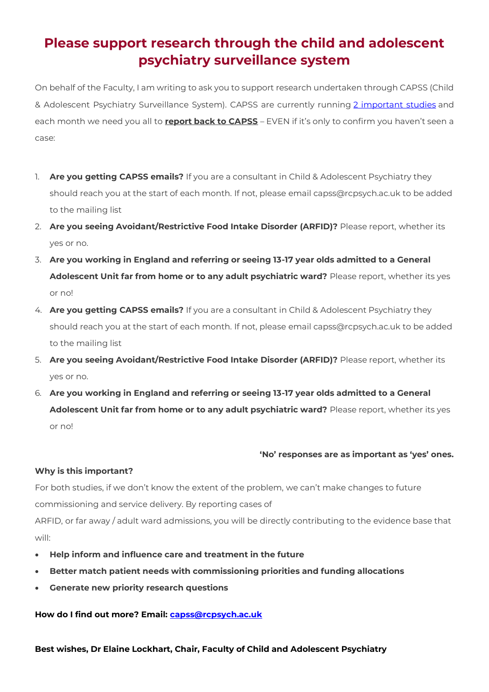# **Please support research through the child and adolescent psychiatry surveillance system**

On behalf of the Faculty, I am writing to ask you to support research undertaken through CAPSS (Child & Adolescent Psychiatry Surveillance System). CAPSS are currently running [2 important studies](https://rcpsych-mail.com/43MR-14L11-RE8F-YKAIK-1/c.aspx) and each month we need you all to **report back to CAPSS** – EVEN if it's only to confirm you haven't seen a case:

- 1. **Are you getting CAPSS emails?** If you are a consultant in Child & Adolescent Psychiatry they should reach you at the start of each month. If not, please email capss@rcpsych.ac.uk to be added to the mailing list
- 2. **Are you seeing Avoidant/Restrictive Food Intake Disorder (ARFID)?** Please report, whether its yes or no.
- 3. **Are you working in England and referring or seeing 13-17 year olds admitted to a General Adolescent Unit far from home or to any adult psychiatric ward?** Please report, whether its yes or no!
- 4. **Are you getting CAPSS emails?** If you are a consultant in Child & Adolescent Psychiatry they should reach you at the start of each month. If not, please email capss@rcpsych.ac.uk to be added to the mailing list
- 5. **Are you seeing Avoidant/Restrictive Food Intake Disorder (ARFID)?** Please report, whether its yes or no.
- 6. **Are you working in England and referring or seeing 13-17 year olds admitted to a General Adolescent Unit far from home or to any adult psychiatric ward?** Please report, whether its yes or no!

### **'No' responses are as important as 'yes' ones.**

### **Why is this important?**

For both studies, if we don't know the extent of the problem, we can't make changes to future commissioning and service delivery. By reporting cases of

ARFID, or far away / adult ward admissions, you will be directly contributing to the evidence base that will:

- **Help inform and influence care and treatment in the future**
- **Better match patient needs with commissioning priorities and funding allocations**
- **Generate new priority research questions**

## **How do I find out more? Email: [capss@rcpsych.ac.uk](mailto:capss@rcpsych.ac.uk)**